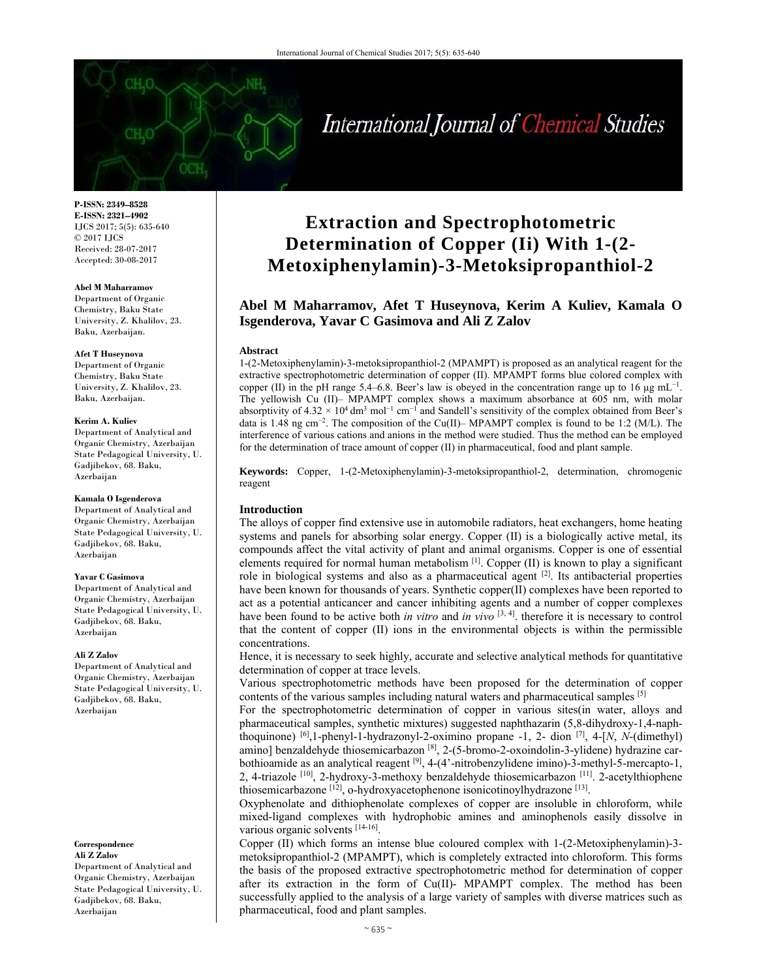#### **P-ISSN: 2349–8528 E-ISSN: 2321–4902**  IJCS 2017; 5(5): 635-640 © 2017 IJCS Received: 28-07-2017 Accepted: 30-08-2017

#### **Abel M Maharramov**

Department of Organic Chemistry, Baku State University, Z. Khalilov, 23. Baku, Azerbaijan.

#### **Afet T Huseynova**

Department of Organic Chemistry, Baku State University, Z. Khalilov, 23. Baku, Azerbaijan.

#### **Kerim A. Kuliev**

Department of Analytical and Organic Chemistry, Azerbaijan State Pedagogical University, U. Gadjibekov, 68. Baku, Azerbaijan

#### **Kamala O Isgenderova**

Department of Analytical and Organic Chemistry, Azerbaijan State Pedagogical University, U. Gadjibekov, 68. Baku, Azerbaijan

#### **Yavar C Gasimova**

Department of Analytical and Organic Chemistry, Azerbaijan State Pedagogical University, U. Gadjibekov, 68. Baku, Azerbaijan

#### **Ali Z Zalov**

Department of Analytical and Organic Chemistry, Azerbaijan State Pedagogical University, U. Gadjibekov, 68. Baku, Azerbaijan

**Correspondence Ali Z Zalov** 

Department of Analytical and Organic Chemistry, Azerbaijan State Pedagogical University, U. Gadjibekov, 68. Baku, Azerbaijan

# **Extraction and Spectrophotometric Determination of Copper (Ii) With 1-(2- Metoxiphenylamin)-3-Metoksipropanthiol-2**

# **Abel M Maharramov, Afet T Huseynova, Kerim A Kuliev, Kamala O Isgenderova, Yavar C Gasimova and Ali Z Zalov**

#### **Abstract**

1-(2-Metoxiphenylamin)-3-metoksipropanthiol-2 (MPAMPT) is proposed as an analytical reagent for the extractive spectrophotometric determination of copper (II). MPAMPT forms blue colored complex with copper (II) in the pH range 5.4–6.8. Beer's law is obeyed in the concentration range up to 16  $\mu$ g mL<sup>-1</sup>. The yellowish Cu (II)– MPAMPT complex shows a maximum absorbance at 605 nm, with molar absorptivity of  $4.32 \times 10^4$  dm<sup>3</sup> mol<sup>-1</sup> cm<sup>-1</sup> and Sandell's sensitivity of the complex obtained from Beer's data is 1.48 ng cm<sup>−</sup>2. The composition of the Cu(II)– MPAMPT complex is found to be 1:2 (M/L). The interference of various cations and anions in the method were studied. Thus the method can be employed for the determination of trace amount of copper (II) in pharmaceutical, food and plant sample.

**Keywords:** Copper, 1-(2-Metoxiphenylamin)-3-metoksipropanthiol-2, determination, chromogenic reagent

#### **Introduction**

The alloys of copper find extensive use in automobile radiators, heat exchangers, home heating systems and panels for absorbing solar energy. Copper (II) is a biologically active metal, its compounds affect the vital activity of plant and animal organisms. Copper is one of essential elements required for normal human metabolism  $[1]$ . Copper (II) is known to play a significant role in biological systems and also as a pharmaceutical agent  $[2]$ . Its antibacterial properties have been known for thousands of years. Synthetic copper(II) complexes have been reported to act as a potential anticancer and cancer inhibiting agents and a number of copper complexes have been found to be active both *in vitro* and *in vivo* [3, 4]. therefore it is necessary to control that the content of copper (II) ions in the environmental objects is within the permissible concentrations.

Hence, it is necessary to seek highly, accurate and selective analytical methods for quantitative determination of copper at trace levels.

Various spectrophotometric methods have been proposed for the determination of copper contents of the various samples including natural waters and pharmaceutical samples [5]

For the spectrophotometric determination of copper in various sites(in water, alloys and pharmaceutical samples, synthetic mixtures) suggested naphthazarin (5,8-dihydroxy-1,4-naphthoquinone) [6],1-phenyl-1-hydrazonyl-2-oximino propane -1, 2- dion [7], 4-[*N*, *N*-(dimethyl) amino] benzaldehyde thiosemicarbazon [8], 2-(5-bromo-2-oxoindolin-3-ylidene) hydrazine carbothioamide as an analytical reagent [9], 4-(4'-nitrobenzylidene imino)-3-methyl-5-mercapto-1, 2, 4-triazole [10], 2-hydroxy-3-methoxy benzaldehyde thiosemicarbazon [11]. 2-acetylthiophene thiosemicarbazone [12], o-hydroxyacetophenone isonicotinoylhydrazone [13].

Oxyphenolate and dithiophenolate complexes of copper are insoluble in chloroform, while mixed-ligand complexes with hydrophobic amines and aminophenols easily dissolve in various organic solvents [14-16].

Copper (II) which forms an intense blue coloured complex with 1-(2-Metoxiphenylamin)-3 metoksipropanthiol-2 (MPAMPT), which is completely extracted into chloroform. This forms the basis of the proposed extractive spectrophotometric method for determination of copper after its extraction in the form of Cu(II)- MPAMPT complex. The method has been successfully applied to the analysis of a large variety of samples with diverse matrices such as pharmaceutical, food and plant samples.

# International Journal of Chemical Studies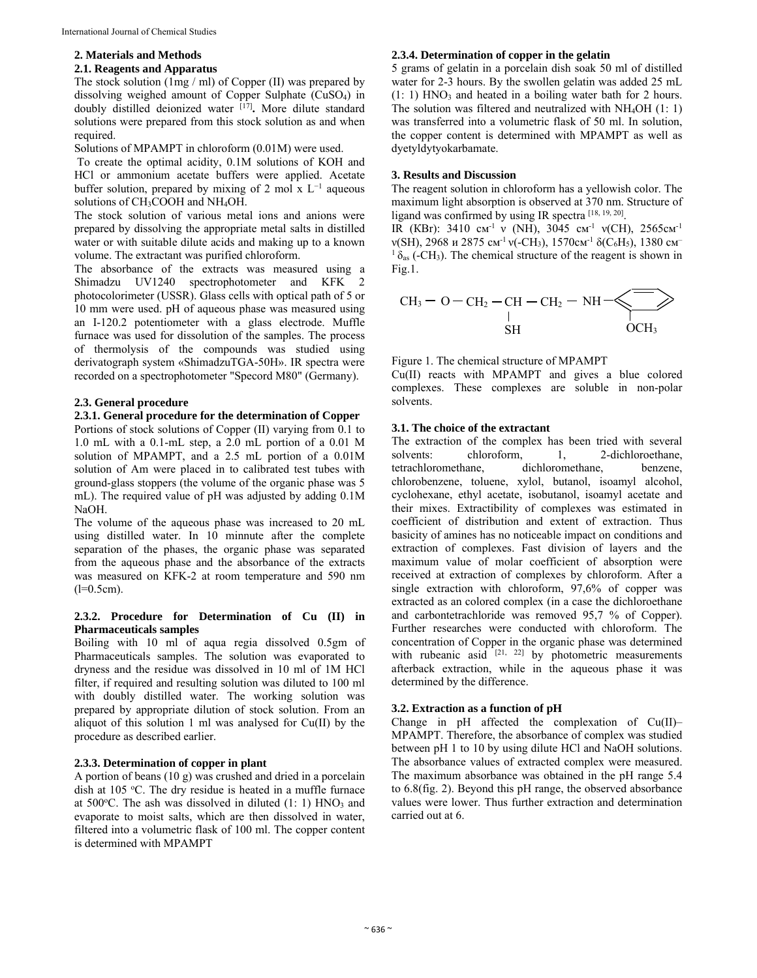# **2. Materials and Methods**

# **2.1. Reagents and Apparatus**

The stock solution (1mg / ml) of Copper (II) was prepared by dissolving weighed amount of Copper Sulphate (CuSO4) in doubly distilled deionized water [17]**.** More dilute standard solutions were prepared from this stock solution as and when required.

Solutions of MPAMPT in chloroform (0.01M) were used.

 To create the optimal acidity, 0.1M solutions of KOH and HCl or ammonium acetate buffers were applied. Acetate buffer solution, prepared by mixing of 2 mol x  $L^{-1}$  aqueous solutions of CH<sub>3</sub>COOH and NH<sub>4</sub>OH.

The stock solution of various metal ions and anions were prepared by dissolving the appropriate metal salts in distilled water or with suitable dilute acids and making up to a known volume. The extractant was purified chloroform.

The absorbance of the extracts was measured using a Shimadzu UV1240 spectrophotometer and KFK 2 photocolorimeter (USSR). Glass cells with optical path of 5 or 10 mm were used. pH of aqueous phase was measured using an I-120.2 potentiometer with a glass electrode. Muffle furnace was used for dissolution of the samples. The process of thermolysis of the compounds was studied using derivatograph system «ShimadzuTGA-50H». IR spectra were recorded on a spectrophotometer "Specord M80" (Germany).

# **2.3. General procedure**

# **2.3.1. General procedure for the determination of Copper**

Portions of stock solutions of Copper (II) varying from 0.1 to 1.0 mL with a 0.1-mL step, a 2.0 mL portion of a 0.01 M solution of MPAMPT, and a 2.5 mL portion of a 0.01M solution of Am were placed in to calibrated test tubes with ground-glass stoppers (the volume of the organic phase was 5 mL). The required value of pH was adjusted by adding 0.1M NaOH.

The volume of the aqueous phase was increased to 20 mL using distilled water. In 10 minnute after the complete separation of the phases, the organic phase was separated from the aqueous phase and the absorbance of the extracts was measured on KFK-2 at room temperature and 590 nm  $(l=0.5cm)$ .

#### **2.3.2. Procedure for Determination of Cu (II) in Pharmaceuticals samples**

Boiling with 10 ml of aqua regia dissolved 0.5gm of Pharmaceuticals samples. The solution was evaporated to dryness and the residue was dissolved in 10 ml of 1M HCl filter, if required and resulting solution was diluted to 100 ml with doubly distilled water. The working solution was prepared by appropriate dilution of stock solution. From an aliquot of this solution 1 ml was analysed for Cu(II) by the procedure as described earlier.

# **2.3.3. Determination of copper in plant**

A portion of beans (10 g) was crushed and dried in a porcelain dish at 105 °C. The dry residue is heated in a muffle furnace at 500°C. The ash was dissolved in diluted (1: 1) HNO<sub>3</sub> and evaporate to moist salts, which are then dissolved in water, filtered into a volumetric flask of 100 ml. The copper content is determined with MPAMPT

#### **2.3.4. Determination of copper in the gelatin**

5 grams of gelatin in a porcelain dish soak 50 ml of distilled water for 2-3 hours. By the swollen gelatin was added 25 mL  $(1: 1)$  HNO<sub>3</sub> and heated in a boiling water bath for 2 hours. The solution was filtered and neutralized with NH4OH (1: 1) was transferred into a volumetric flask of 50 ml. In solution, the copper content is determined with MPAMPT as well as dyetyldytyokarbamate.

#### **3. Results and Discussion**

The reagent solution in chloroform has a yellowish color. The maximum light absorption is observed at 370 nm. Structure of ligand was confirmed by using IR spectra [18, 19, 20].

IR (КВг): 3410 см<sup>-1</sup> v (NH), 3045 см<sup>-1</sup> v(CH), 2565см<sup>-1</sup>  $v(SH)$ , 2968 и 2875 см<sup>-1</sup>  $v$ (-CH<sub>3</sub>), 1570см<sup>-1</sup> δ(C<sub>6</sub>H<sub>5</sub>), 1380 см<sup>-</sup>  $1 \delta_{\text{as}}$  (-CH<sub>3</sub>). The chemical structure of the reagent is shown in Fig.1.

$$
CH3-O-CH2-CH-CH2-NH2\longrightarrow
$$
  
\n
$$
CH3-O-H2-CH2-NH2
$$

Figure 1. The chemical structure of MPAMPT

Cu(II) reacts with MPAMPT and gives a blue colored complexes. These complexes are soluble in non-polar solvents.

#### **3.1. The choice of the extractant**

The extraction of the complex has been tried with several solvents: chloroform, 1, 2-dichloroethane, tetrachloromethane, dichloromethane, benzene, chlorobenzene, toluene, xylol, butanol, isoamyl alcohol, cyclohexane, ethyl acetate, isobutanol, isoamyl acetate and their mixes. Extractibility of complexes was estimated in coefficient of distribution and extent of extraction. Thus basicity of amines has no noticeable impact on conditions and extraction of complexes. Fast division of layers and the maximum value of molar coefficient of absorption were received at extraction of complexes by chloroform. After a single extraction with chloroform, 97,6% of copper was extracted as an colored complex (in a case the dichloroethane and carbontetrachloride was removed 95,7 % of Copper). Further researches were conducted with chloroform. The concentration of Copper in the organic phase was determined with rubeanic asid  $^{[21, 22]}$  by photometric measurements afterback extraction, while in the aqueous phase it was determined by the difference.

# **3.2. Extraction as a function of pH**

Change in pH affected the complexation of Cu(II)– MPAMPT. Therefore, the absorbance of complex was studied between pH 1 to 10 by using dilute HCl and NaOH solutions. The absorbance values of extracted complex were measured. The maximum absorbance was obtained in the pH range 5.4 to 6.8(fig. 2). Beyond this pH range, the observed absorbance values were lower. Thus further extraction and determination carried out at 6.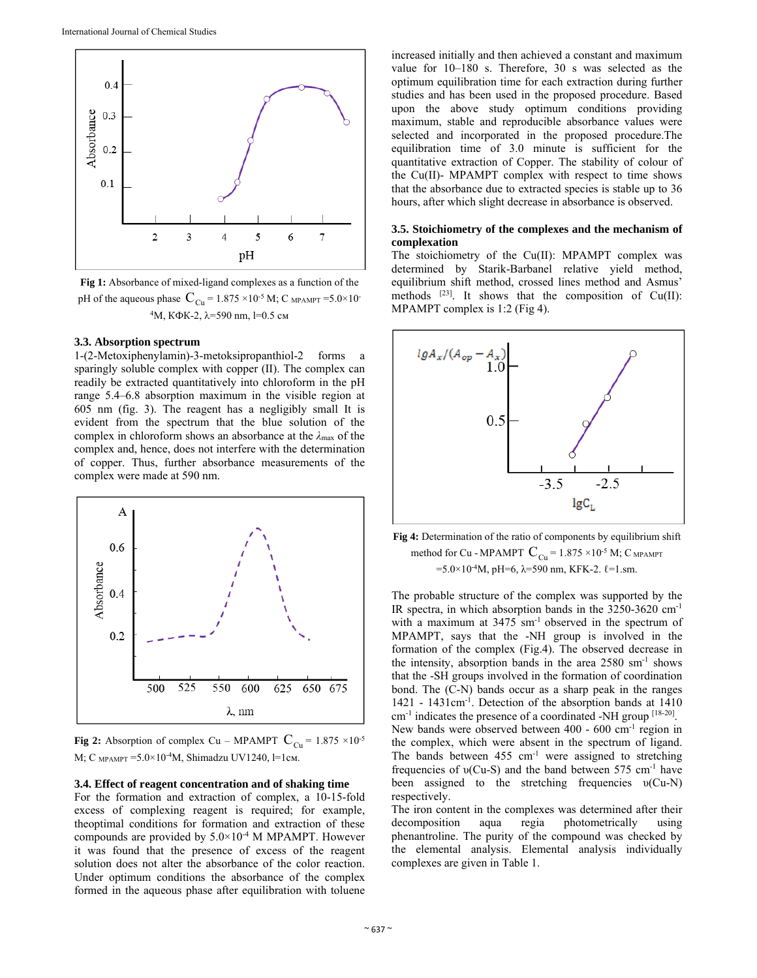

**Fig 1:** Absorbance of mixed-ligand complexes as a function of the pH of the aqueous phase  $C_{Cu} = 1.875 \times 10^{-5}$  M; C MPAMPT = 5.0×10 <sup>4</sup>M, KΦK-2,  $λ=590$  nm, l=0.5 cm

#### **3.3. Absorption spectrum**

1-(2-Metoxiphenylamin)-3-metoksipropanthiol-2 forms a sparingly soluble complex with copper (II). The complex can readily be extracted quantitatively into chloroform in the pH range 5.4–6.8 absorption maximum in the visible region at 605 nm (fig. 3). The reagent has a negligibly small It is evident from the spectrum that the blue solution of the complex in chloroform shows an absorbance at the *λ*max of the complex and, hence, does not interfere with the determination of copper. Thus, further absorbance measurements of the complex were made at 590 nm.



**Fig 2:** Absorption of complex Cu – MPAMPT  $C_{Cu} = 1.875 \times 10^{-5}$ М; С <sub>МРАМРТ</sub> = 5.0×10<sup>-4</sup>М, Shimadzu UV1240, l=1см.

#### **3.4. Effect of reagent concentration and of shaking time**

For the formation and extraction of complex, a 10-15-fold excess of complexing reagent is required; for example, theoptimal conditions for formation and extraction of these compounds are provided by  $5.0\times10^{-4}$  M MPAMPT. However it was found that the presence of excess of the reagent solution does not alter the absorbance of the color reaction. Under optimum conditions the absorbance of the complex formed in the aqueous phase after equilibration with toluene

increased initially and then achieved a constant and maximum value for 10–180 s. Therefore, 30 s was selected as the optimum equilibration time for each extraction during further studies and has been used in the proposed procedure. Based upon the above study optimum conditions providing maximum, stable and reproducible absorbance values were selected and incorporated in the proposed procedure.The equilibration time of 3.0 minute is sufficient for the quantitative extraction of Copper. The stability of colour of the Cu(II)- MPAMPT complex with respect to time shows that the absorbance due to extracted species is stable up to 36 hours, after which slight decrease in absorbance is observed.

#### **3.5. Stoichiometry of the complexes and the mechanism of complexation**

The stoichiometry of the Cu(II): MPAMPT complex was determined by Starik-Barbanel relative yield method, equilibrium shift method, crossed lines method and Asmus' methods  $[23]$ . It shows that the composition of Cu(II): MPAMPT complex is 1:2 (Fig 4).



**Fig 4:** Determination of the ratio of components by equilibrium shift method for Cu - MPAMPT  $\text{C}_{\text{Cu}}$  = 1.875  $\times 10^{5}$  M;  $\text{C}_{\text{MPAMPT}}$  $=5.0\times10^{-4}$ M, pH=6, λ=590 nm, KFK-2.  $\ell$ =1.sm.

The probable structure of the complex was supported by the IR spectra, in which absorption bands in the 3250-3620 cm-1 with a maximum at 3475 sm<sup>-1</sup> observed in the spectrum of MPAMPT, says that the -NH group is involved in the formation of the complex (Fig.4). The observed decrease in the intensity, absorption bands in the area 2580 sm-1 shows that the -SH groups involved in the formation of coordination bond. The (C-N) bands occur as a sharp peak in the ranges 1421 - 1431cm-1. Detection of the absorption bands at 1410 cm-1 indicates the presence of a coordinated -NH group [18-20]. New bands were observed between 400 - 600 cm-1 region in the complex, which were absent in the spectrum of ligand. The bands between 455 cm<sup>-1</sup> were assigned to stretching frequencies of  $v(Cu-S)$  and the band between 575 cm<sup>-1</sup> have been assigned to the stretching frequencies υ(Cu-N) respectively.

The iron content in the complexes was determined after their decomposition aqua regia photometrically using phenantroline. The purity of the compound was checked by the elemental analysis. Elemental analysis individually complexes are given in Table 1.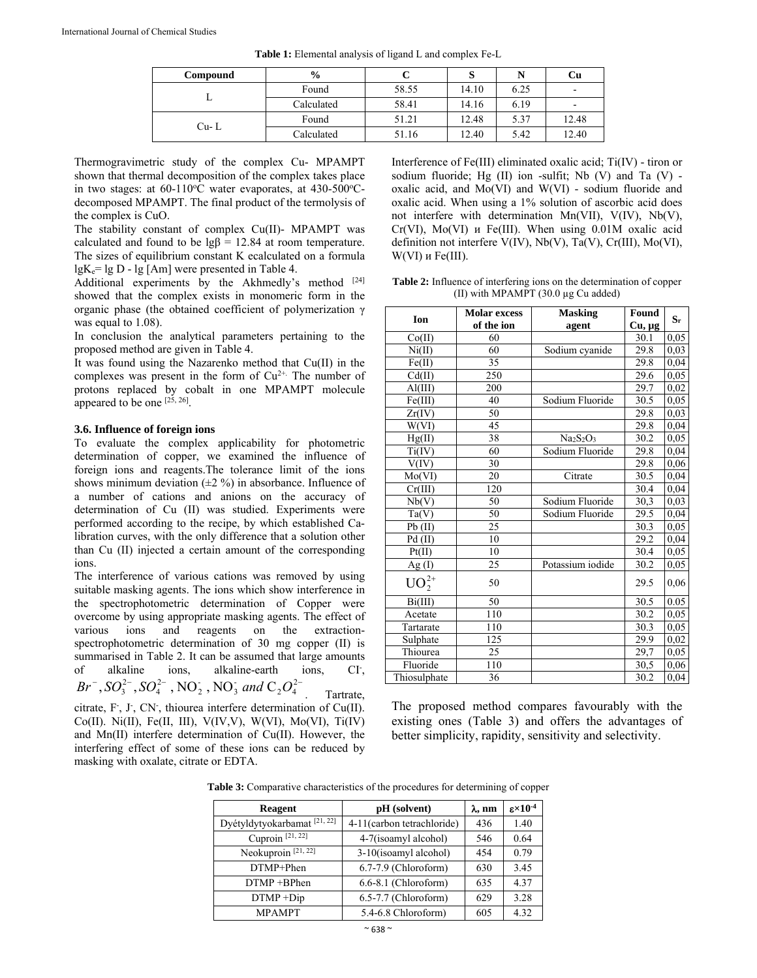| Compound | $\frac{6}{6}$ |       |       | N    | Cu                       |
|----------|---------------|-------|-------|------|--------------------------|
|          | Found         | 58.55 | 14.10 | 6.25 | $\overline{\phantom{a}}$ |
|          | Calculated    | 58.41 | 14.16 | 6.19 | ۰                        |
| $Cu - L$ | Found         | 51.21 | 12.48 | 5.37 | 12.48                    |
|          | Calculated    | 51.16 | 12.40 | 5.42 | 12.40                    |

**Table 1:** Elemental analysis of ligand L and complex Fe-L

Thermogravimetric study of the complex Cu- MPAMPT shown that thermal decomposition of the complex takes place in two stages: at 60-110°C water evaporates, at 430-500°Cdecomposed MPAMPT. The final product of the termolysis of the complex is CuO.

The stability constant of complex Cu(II)- MPAMPT was calculated and found to be  $\lg\beta = 12.84$  at room temperature. The sizes of equilibrium constant K ecalculated on a formula  $lgK_e = lg D - lg [Am]$  were presented in Table 4.

Additional experiments by the Akhmedly's method  $[24]$ showed that the complex exists in monomeric form in the organic phase (the obtained coefficient of polymerization γ was equal to 1.08).

In conclusion the analytical parameters pertaining to the proposed method are given in Table 4.

It was found using the Nazarenko method that Cu(II) in the complexes was present in the form of  $Cu^{2+}$ . The number of protons replaced by cobalt in one MPAMPT molecule appeared to be one [25, 26].

#### **3.6. Influence of foreign ions**

To evaluate the complex applicability for photometric determination of copper, we examined the influence of foreign ions and reagents.The tolerance limit of the ions shows minimum deviation  $(\pm 2 \%)$  in absorbance. Influence of a number of cations and anions on the accuracy of determination of Cu (II) was studied. Experiments were performed according to the recipe, by which established Calibration curves, with the only difference that a solution other than Cu (II) injected a certain amount of the corresponding ions.

The interference of various cations was removed by using suitable masking agents. The ions which show interference in the spectrophotometric determination of Copper were overcome by using appropriate masking agents. The effect of various ions and reagents on the extractionspectrophotometric determination of 30 mg copper (II) is summarised in Table 2. It can be assumed that large amounts of alkaline ions, alkaline-earth ions,  $CI<sub>1</sub>$  $Br^-, SO_3^{2-}, SO_4^{2-}$ , NO<sub>2</sub>, NO<sub>3</sub> and  $C_2O_4^{2-}$  Tartrate,

citrate, F, J, CN, thiourea interfere determination of Cu(II). Co(II). Ni(II), Fe(II, III), V(IV,V), W(VI), Mo(VI), Ti(IV) and Mn(II) interfere determination of Cu(II). However, the interfering effect of some of these ions can be reduced by masking with oxalate, citrate or EDTA.

Interference of Fe(III) eliminated oxalic acid; Ti(IV) - tiron or sodium fluoride; Hg (II) ion -sulfit; Nb (V) and Ta (V) oxalic acid, and Mo(VI) and W(VI) - sodium fluoride and oxalic acid. When using a 1% solution of ascorbic acid does not interfere with determination Mn(VII), V(IV), Nb(V), Cr(VI), Mo(VI) и Fe(III). When using 0.01M oxalic acid definition not interfere V(IV), Nb(V), Ta(V), Cr(III), Mo(VI), W(VI) и Fe(III).

**Table 2:** Influence of interfering ions on the determination of copper (II) with MPAMPT (30.0 µg Cu added)

| Ion              | <b>Molar</b> excess | <b>Masking</b>   | Found       | $S_r$ |
|------------------|---------------------|------------------|-------------|-------|
|                  | of the ion          | agent            | $Cu, \mu g$ |       |
| Co(II)           | 60                  |                  | 30.1        | 0,05  |
| Ni(II)           | 60                  | Sodium cyanide   | 29.8        | 0,03  |
| Fe(II)           | 35                  |                  | 29.8        | 0,04  |
| Cd(II)           | 250                 |                  | 29.6        | 0,05  |
| $\text{Al(III)}$ | 200                 |                  | 29.7        | 0,02  |
| Fe(III)          | 40                  | Sodium Fluoride  | 30.5        | 0,05  |
| Zr(IV)           | 50                  |                  | 29.8        | 0,03  |
| W(VI)            | 45                  |                  | 29.8        | 0,04  |
| Hg(II)           | 38                  | $Na2S2O3$        | 30.2        | 0,05  |
| Ti(IV)           | 60                  | Sodium Fluoride  | 29.8        | 0,04  |
| V(IV)            | 30                  |                  | 29.8        | 0,06  |
| Mo(VI)           | 20                  | Citrate          | 30.5        | 0,04  |
| Cr(III)          | 120                 |                  | 30.4        | 0,04  |
| Nb(V)            | 50                  | Sodium Fluoride  | 30,3        | 0,03  |
| Ta(V)            | 50                  | Sodium Fluoride  | 29.5        | 0,04  |
| Pb(II)           | 25                  |                  | 30.3        | 0,05  |
| Pd(II)           | 10                  |                  | 29.2        | 0,04  |
| Pt(II)           | 10                  |                  | 30.4        | 0,05  |
| Ag(I)            | 25                  | Potassium iodide | 30.2        | 0,05  |
| $UO_2^{2+}$      | 50                  |                  | 29.5        | 0,06  |
| Bi(III)          | 50                  |                  | 30.5        | 0.05  |
| Acetate          | 110                 |                  | 30.2        | 0,05  |
| Tartarate        | 110                 |                  | 30.3        | 0,05  |
| Sulphate         | 125                 |                  | 29.9        | 0,02  |
| Thiourea         | 25                  |                  | 29,7        | 0,05  |
| Fluoride         | 110                 |                  | 30,5        | 0,06  |
| Thiosulphate     | 36                  |                  | 30.2        | 0,04  |

The proposed method compares favourably with the existing ones (Table 3) and offers the advantages of better simplicity, rapidity, sensitivity and selectivity.

**Table 3:** Comparative characteristics of the procedures for determining of copper

| <b>Reagent</b>                         | pH (solvent)               | $\lambda$ , nm | $\epsilon \times 10^{-4}$ |
|----------------------------------------|----------------------------|----------------|---------------------------|
| Dyétyldytyokarbamat <sup>[21,22]</sup> | 4-11(carbon tetrachloride) | 436            | 1.40                      |
| Cuproin <sup>[21, 22]</sup>            | 4-7(isoamyl alcohol)       | 546            | 0.64                      |
| Neokuproin <sup>[21,22]</sup>          | 3-10(isoamyl alcohol)      | 454            | 0.79                      |
| DTMP+Phen                              | 6.7-7.9 (Chloroform)       | 630            | 3.45                      |
| $DTMP + BPhen$                         | 6.6-8.1 (Chloroform)       | 635            | 4.37                      |
| $DTMP + Dip$                           | 6.5-7.7 (Chloroform)       | 629            | 3.28                      |
| <b>MPAMPT</b>                          | 5.4-6.8 Chloroform)        | 605            | 4.32                      |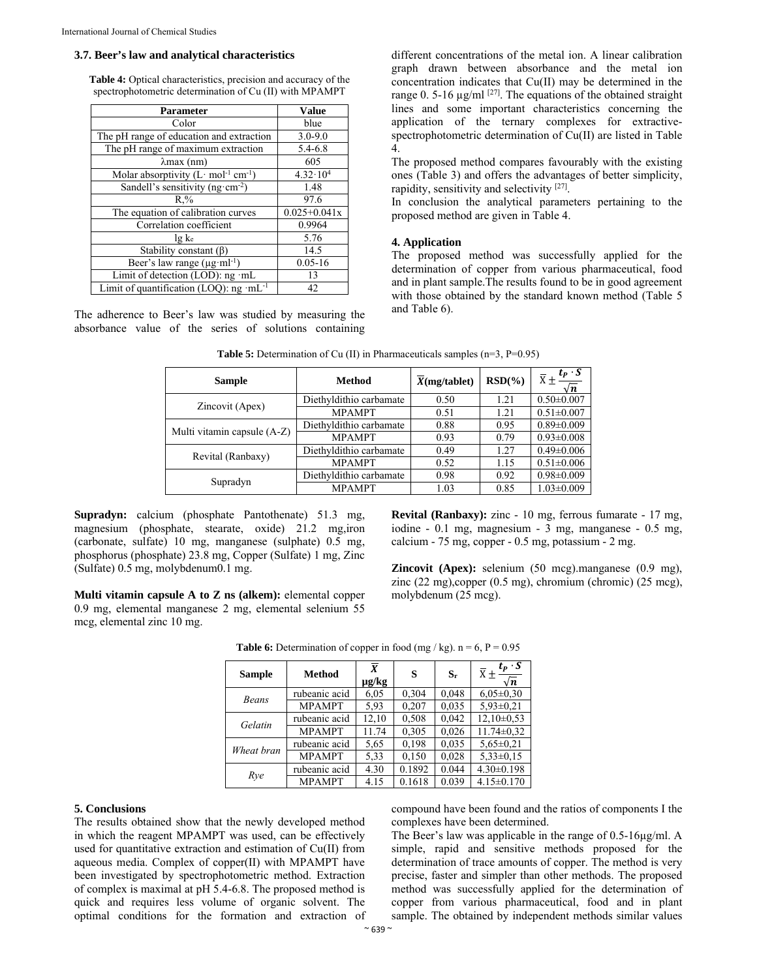#### **3.7. Beer's law and analytical characteristics**

**Table 4:** Optical characteristics, precision and accuracy of the spectrophotometric determination of Cu (II) with MPAMPT

| <b>Parameter</b>                                    | <b>Value</b>        |
|-----------------------------------------------------|---------------------|
| Color                                               | blue                |
| The pH range of education and extraction            | $3.0 - 9.0$         |
| The pH range of maximum extraction                  | 5.4-6.8             |
| $\lambda$ max (nm)                                  | 605                 |
| Molar absorptivity $(L \cdot mol^{-1} cm^{-1})$     | $4.32 \cdot 10^{4}$ |
| Sandell's sensitivity (ng·cm <sup>-2</sup> )        | 1.48                |
| $R_{\cdot}$ %                                       | 97.6                |
| The equation of calibration curves                  | $0.025 + 0.041x$    |
| Correlation coefficient                             | 0.9964              |
| lg ke                                               | 5.76                |
| Stability constant $(\beta)$                        | 14.5                |
| Beer's law range $(\mu g \cdot ml^{-1})$            | $0.05 - 16$         |
| Limit of detection (LOD): ng ·mL                    | 13                  |
| Limit of quantification (LOQ): ng ·mL <sup>-1</sup> | 42                  |

The adherence to Beer's law was studied by measuring the absorbance value of the series of solutions containing different concentrations of the metal ion. A linear calibration graph drawn between absorbance and the metal ion concentration indicates that Cu(II) may be determined in the range 0. 5-16  $\mu$ g/ml <sup>[27]</sup>. The equations of the obtained straight lines and some important characteristics concerning the application of the ternary complexes for extractivespectrophotometric determination of Cu(II) are listed in Table 4.

The proposed method compares favourably with the existing ones (Table 3) and offers the advantages of better simplicity, rapidity, sensitivity and selectivity [27].

In conclusion the analytical parameters pertaining to the proposed method are given in Table 4.

#### **4. Application**

The proposed method was successfully applied for the determination of copper from various pharmaceutical, food and in plant sample.The results found to be in good agreement with those obtained by the standard known method (Table 5 and Table 6).

| <b>Method</b><br><b>Sample</b> |                         | X(mg/tablet) | $RSD(\%)$ | $t_P \cdot S$<br>$\overline{X}$ +<br>∣n |
|--------------------------------|-------------------------|--------------|-----------|-----------------------------------------|
| Zincovit (Apex)                | Diethyldithio carbamate | 0.50         | 1.21      | $0.50 \pm 0.007$                        |
|                                | <b>MPAMPT</b>           | 0.51         | 1.21      | $0.51 \pm 0.007$                        |
| Multi vitamin capsule (A-Z)    | Diethyldithio carbamate | 0.88         | 0.95      | $0.89 \pm 0.009$                        |
|                                | <b>MPAMPT</b>           | 0.93         | 0.79      | $0.93 \pm 0.008$                        |
| Revital (Ranbaxy)              | Diethyldithio carbamate | 0.49         | 1.27      | $0.49 \pm 0.006$                        |
|                                | <b>MPAMPT</b>           | 0.52         | 1.15      | $0.51 \pm 0.006$                        |
| Supradyn                       | Diethyldithio carbamate | 0.98         | 0.92      | $0.98 \pm 0.009$                        |
|                                | <b>MPAMPT</b>           | 1.03         | 0.85      | $1.03 \pm 0.009$                        |

**Table 5:** Determination of Cu (II) in Pharmaceuticals samples (n=3, P=0.95)

**Supradyn:** calcium (phosphate Pantothenate) 51.3 mg, magnesium (phosphate, stearate, oxide) 21.2 mg,iron (carbonate, sulfate) 10 mg, manganese (sulphate) 0.5 mg, phosphorus (phosphate) 23.8 mg, Copper (Sulfate) 1 mg, Zinc (Sulfate) 0.5 mg, molybdenum0.1 mg.

**Multi vitamin capsule A to Z ns (alkem):** elemental copper 0.9 mg, elemental manganese 2 mg, elemental selenium 55 mcg, elemental zinc 10 mg.

**Revital (Ranbaxy):** zinc - 10 mg, ferrous fumarate - 17 mg, iodine - 0.1 mg, magnesium - 3 mg, manganese - 0.5 mg, calcium - 75 mg, copper - 0.5 mg, potassium - 2 mg.

**Zincovit (Apex):** selenium (50 mcg).manganese (0.9 mg), zinc (22 mg),copper (0.5 mg), chromium (chromic) (25 mcg), molybdenum (25 mcg).

| <b>Sample</b> | <b>Method</b> | $\overline{x}$<br>µg/kg | s      | $S_r$ | $t_P \cdot \overline{S}$<br>$\overline{X}$ $\pm$<br>$\sqrt{n}$ |
|---------------|---------------|-------------------------|--------|-------|----------------------------------------------------------------|
| Beans         | rubeanic acid | 6,05                    | 0,304  | 0,048 | $6,05\pm0.30$                                                  |
|               | <b>MPAMPT</b> | 5.93                    | 0.207  | 0.035 | $5.93 \pm 0.21$                                                |
| Gelatin       | rubeanic acid | 12,10                   | 0,508  | 0,042 | $12,10\pm0.53$                                                 |
|               | <b>MPAMPT</b> | 11.74                   | 0,305  | 0,026 | $11.74 \pm 0.32$                                               |
| Wheat bran    | rubeanic acid | 5.65                    | 0,198  | 0,035 | $5,65 \pm 0,21$                                                |
|               | <b>MPAMPT</b> | 5,33                    | 0,150  | 0.028 | $5.33 \pm 0.15$                                                |
| Rye           | rubeanic acid | 4.30                    | 0.1892 | 0.044 | $4.30\pm0.198$                                                 |
|               | <b>MPAMPT</b> | 4.15                    | 0.1618 | 0.039 | $4.15 \pm 0.170$                                               |

**Table 6:** Determination of copper in food (mg / kg).  $n = 6$ ,  $P = 0.95$ 

# **5. Conclusions**

The results obtained show that the newly developed method in which the reagent MPAMPT was used, can be effectively used for quantitative extraction and estimation of Cu(II) from aqueous media. Complex of copper(II) with MPAMPT have been investigated by spectrophotometric method. Extraction of complex is maximal at pH 5.4-6.8. The proposed method is quick and requires less volume of organic solvent. The optimal conditions for the formation and extraction of compound have been found and the ratios of components I the complexes have been determined.

The Beer's law was applicable in the range of 0.5-16µg/ml. A simple, rapid and sensitive methods proposed for the determination of trace amounts of copper. The method is very precise, faster and simpler than other methods. The proposed method was successfully applied for the determination of copper from various pharmaceutical, food and in plant sample. The obtained by independent methods similar values